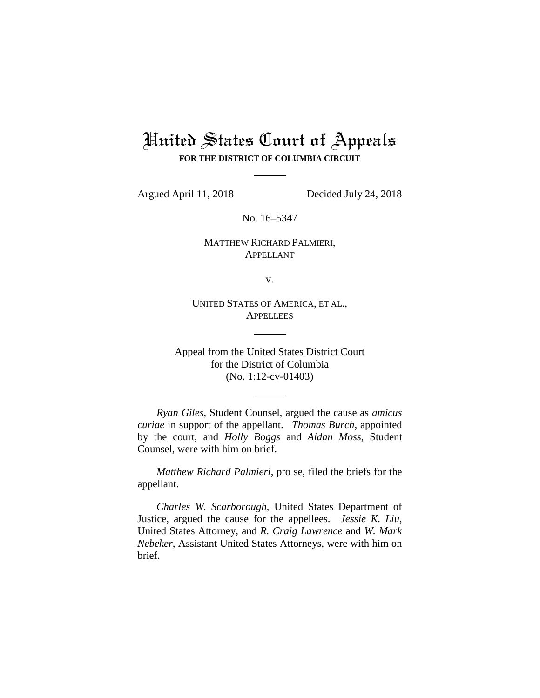# United States Court of Appeals **FOR THE DISTRICT OF COLUMBIA CIRCUIT**

Argued April 11, 2018 Decided July 24, 2018

No. 16–5347

# MATTHEW RICHARD PALMIERI, APPELLANT

v.

UNITED STATES OF AMERICA, ET AL., **APPELLEES** 

Appeal from the United States District Court for the District of Columbia (No. 1:12-cv-01403)

*Ryan Giles*, Student Counsel, argued the cause as *amicus curiae* in support of the appellant. *Thomas Burch*, appointed by the court, and *Holly Boggs* and *Aidan Moss*, Student Counsel, were with him on brief.

*Matthew Richard Palmieri*, pro se, filed the briefs for the appellant.

*Charles W. Scarborough*, United States Department of Justice, argued the cause for the appellees. *Jessie K. Liu*, United States Attorney, and *R. Craig Lawrence* and *W. Mark Nebeker*, Assistant United States Attorneys, were with him on brief.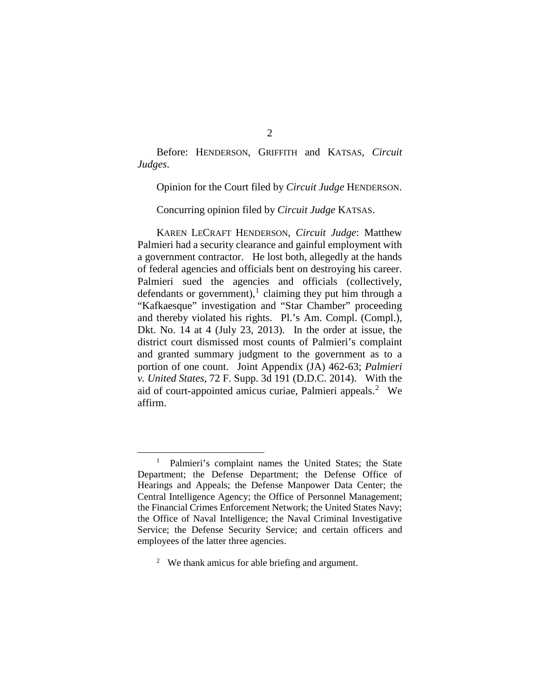Before: HENDERSON, GRIFFITH and KATSAS, *Circuit Judges*.

Opinion for the Court filed by *Circuit Judge* HENDERSON.

Concurring opinion filed by *Circuit Judge* KATSAS.

KAREN LECRAFT HENDERSON, *Circuit Judge*: Matthew Palmieri had a security clearance and gainful employment with a government contractor. He lost both, allegedly at the hands of federal agencies and officials bent on destroying his career. Palmieri sued the agencies and officials (collectively, defendants or government),<sup>[1](#page-1-0)</sup> claiming they put him through a "Kafkaesque" investigation and "Star Chamber" proceeding and thereby violated his rights. Pl.'s Am. Compl. (Compl.), Dkt. No. 14 at 4 (July 23, 2013). In the order at issue, the district court dismissed most counts of Palmieri's complaint and granted summary judgment to the government as to a portion of one count. Joint Appendix (JA) 462-63; *Palmieri v. United States*, 72 F. Supp. 3d 191 (D.D.C. 2014). With the aid of court-appointed amicus curiae, Palmieri appeals.<sup>[2](#page-1-1)</sup> We affirm.

<span id="page-1-0"></span><sup>&</sup>lt;sup>1</sup> Palmieri's complaint names the United States; the State Department; the Defense Department; the Defense Office of Hearings and Appeals; the Defense Manpower Data Center; the Central Intelligence Agency; the Office of Personnel Management; the Financial Crimes Enforcement Network; the United States Navy; the Office of Naval Intelligence; the Naval Criminal Investigative Service; the Defense Security Service; and certain officers and employees of the latter three agencies.

<span id="page-1-1"></span> $2$  We thank amicus for able briefing and argument.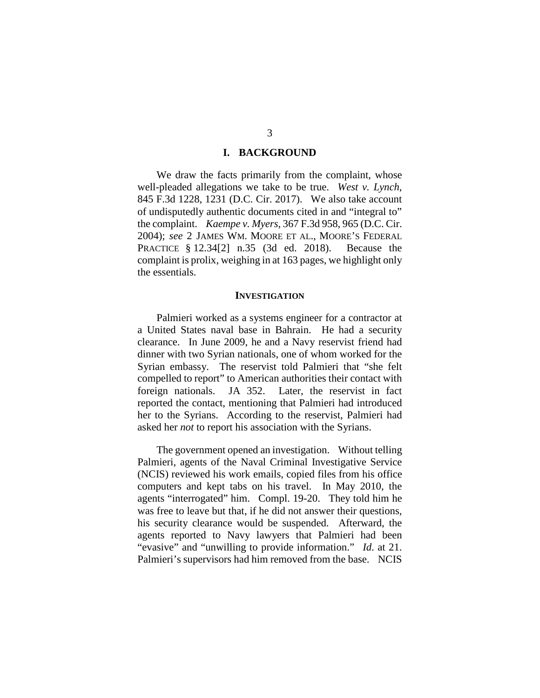#### **I. BACKGROUND**

We draw the facts primarily from the complaint, whose well-pleaded allegations we take to be true. *West v. Lynch*, 845 F.3d 1228, 1231 (D.C. Cir. 2017). We also take account of undisputedly authentic documents cited in and "integral to" the complaint. *Kaempe v. Myers*, 367 F.3d 958, 965 (D.C. Cir. 2004); *see* 2 JAMES WM. MOORE ET AL., MOORE'S FEDERAL PRACTICE § 12.34[2] n.35 (3d ed. 2018). Because the complaint is prolix, weighing in at 163 pages, we highlight only the essentials.

#### **INVESTIGATION**

Palmieri worked as a systems engineer for a contractor at a United States naval base in Bahrain. He had a security clearance. In June 2009, he and a Navy reservist friend had dinner with two Syrian nationals, one of whom worked for the Syrian embassy. The reservist told Palmieri that "she felt compelled to report" to American authorities their contact with foreign nationals. JA 352. Later, the reservist in fact reported the contact, mentioning that Palmieri had introduced her to the Syrians. According to the reservist, Palmieri had asked her *not* to report his association with the Syrians.

The government opened an investigation. Without telling Palmieri, agents of the Naval Criminal Investigative Service (NCIS) reviewed his work emails, copied files from his office computers and kept tabs on his travel. In May 2010, the agents "interrogated" him. Compl. 19-20. They told him he was free to leave but that, if he did not answer their questions, his security clearance would be suspended. Afterward, the agents reported to Navy lawyers that Palmieri had been "evasive" and "unwilling to provide information." *Id*. at 21. Palmieri's supervisors had him removed from the base. NCIS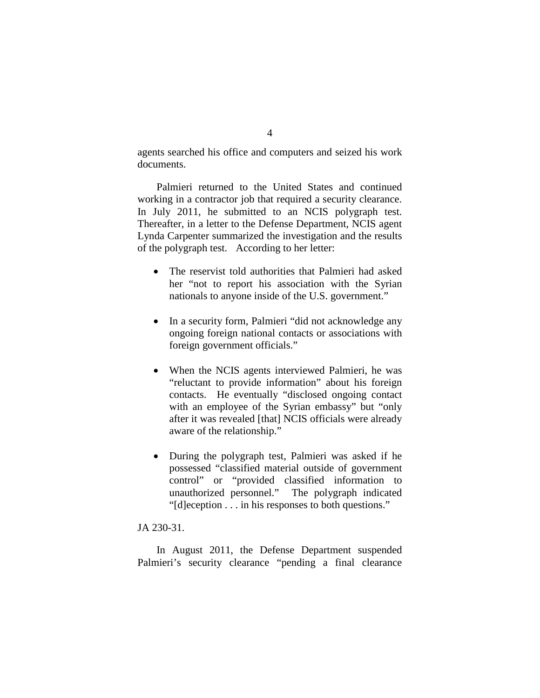agents searched his office and computers and seized his work documents.

Palmieri returned to the United States and continued working in a contractor job that required a security clearance. In July 2011, he submitted to an NCIS polygraph test. Thereafter, in a letter to the Defense Department, NCIS agent Lynda Carpenter summarized the investigation and the results of the polygraph test. According to her letter:

- The reservist told authorities that Palmieri had asked her "not to report his association with the Syrian nationals to anyone inside of the U.S. government."
- In a security form, Palmieri "did not acknowledge any ongoing foreign national contacts or associations with foreign government officials."
- When the NCIS agents interviewed Palmieri, he was "reluctant to provide information" about his foreign contacts. He eventually "disclosed ongoing contact with an employee of the Syrian embassy" but "only after it was revealed [that] NCIS officials were already aware of the relationship."
- During the polygraph test, Palmieri was asked if he possessed "classified material outside of government control" or "provided classified information to unauthorized personnel." The polygraph indicated "[d]eception . . . in his responses to both questions."

## JA 230-31.

In August 2011, the Defense Department suspended Palmieri's security clearance "pending a final clearance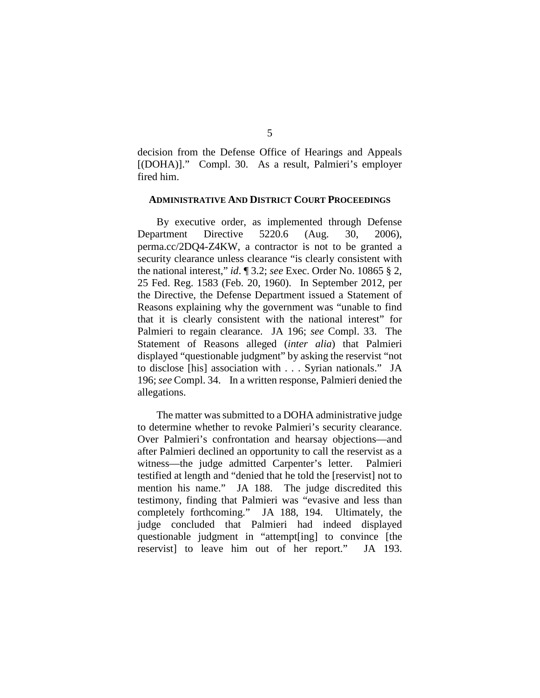decision from the Defense Office of Hearings and Appeals [(DOHA)]." Compl. 30. As a result, Palmieri's employer fired him.

#### **ADMINISTRATIVE AND DISTRICT COURT PROCEEDINGS**

By executive order, as implemented through Defense Department Directive 5220.6 (Aug. 30, 2006), perma.cc/2DQ4-Z4KW, a contractor is not to be granted a security clearance unless clearance "is clearly consistent with the national interest," *id*. ¶ 3.2; *see* Exec. Order No. 10865 § 2, 25 Fed. Reg. 1583 (Feb. 20, 1960). In September 2012, per the Directive, the Defense Department issued a Statement of Reasons explaining why the government was "unable to find that it is clearly consistent with the national interest" for Palmieri to regain clearance. JA 196; *see* Compl. 33. The Statement of Reasons alleged (*inter alia*) that Palmieri displayed "questionable judgment" by asking the reservist "not to disclose [his] association with . . . Syrian nationals." JA 196; *see* Compl. 34. In a written response, Palmieri denied the allegations.

The matter was submitted to a DOHA administrative judge to determine whether to revoke Palmieri's security clearance. Over Palmieri's confrontation and hearsay objections—and after Palmieri declined an opportunity to call the reservist as a witness—the judge admitted Carpenter's letter. Palmieri testified at length and "denied that he told the [reservist] not to mention his name." JA 188. The judge discredited this testimony, finding that Palmieri was "evasive and less than completely forthcoming." JA 188, 194. Ultimately, the judge concluded that Palmieri had indeed displayed questionable judgment in "attempt[ing] to convince [the reservist] to leave him out of her report." JA 193.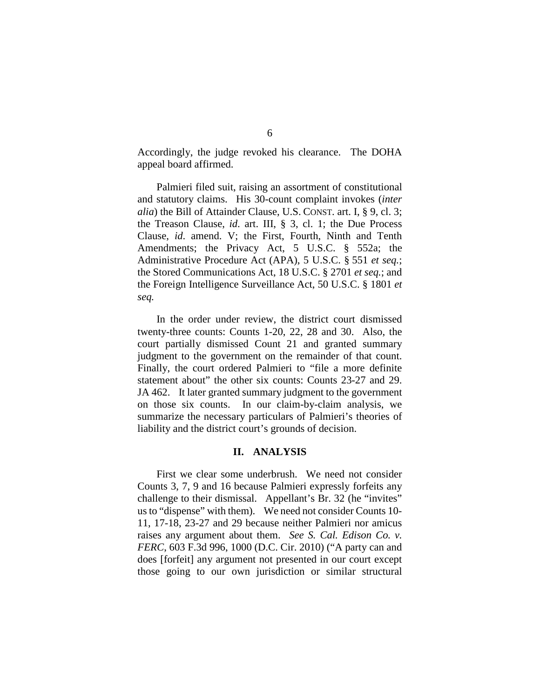Accordingly, the judge revoked his clearance. The DOHA appeal board affirmed.

Palmieri filed suit, raising an assortment of constitutional and statutory claims. His 30-count complaint invokes (*inter alia*) the Bill of Attainder Clause, U.S. CONST. art. I, § 9, cl. 3; the Treason Clause, *id*. art. III, § 3, cl. 1; the Due Process Clause, *id*. amend. V; the First, Fourth, Ninth and Tenth Amendments; the Privacy Act, 5 U.S.C. § 552a; the Administrative Procedure Act (APA), 5 U.S.C. § 551 *et seq.*; the Stored Communications Act, 18 U.S.C. § 2701 *et seq.*; and the Foreign Intelligence Surveillance Act, 50 U.S.C. § 1801 *et seq.*

In the order under review, the district court dismissed twenty-three counts: Counts 1-20, 22, 28 and 30. Also, the court partially dismissed Count 21 and granted summary judgment to the government on the remainder of that count. Finally, the court ordered Palmieri to "file a more definite statement about" the other six counts: Counts 23-27 and 29. JA 462. It later granted summary judgment to the government on those six counts. In our claim-by-claim analysis, we summarize the necessary particulars of Palmieri's theories of liability and the district court's grounds of decision.

## **II. ANALYSIS**

First we clear some underbrush. We need not consider Counts 3, 7, 9 and 16 because Palmieri expressly forfeits any challenge to their dismissal. Appellant's Br. 32 (he "invites" us to "dispense" with them). We need not consider Counts 10- 11, 17-18, 23-27 and 29 because neither Palmieri nor amicus raises any argument about them. *See S. Cal. Edison Co. v. FERC*, 603 F.3d 996, 1000 (D.C. Cir. 2010) ("A party can and does [forfeit] any argument not presented in our court except those going to our own jurisdiction or similar structural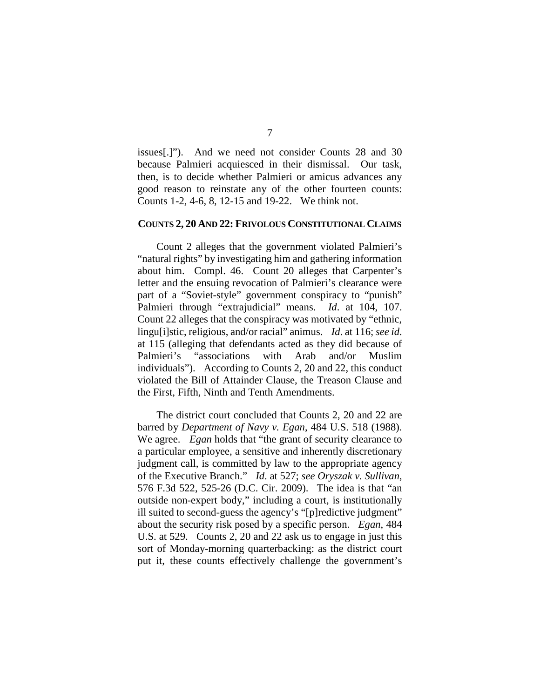issues[.]"). And we need not consider Counts 28 and 30 because Palmieri acquiesced in their dismissal. Our task, then, is to decide whether Palmieri or amicus advances any good reason to reinstate any of the other fourteen counts: Counts 1-2, 4-6, 8, 12-15 and 19-22. We think not.

#### **COUNTS 2, 20 AND 22: FRIVOLOUS CONSTITUTIONAL CLAIMS**

Count 2 alleges that the government violated Palmieri's "natural rights" by investigating him and gathering information about him. Compl. 46. Count 20 alleges that Carpenter's letter and the ensuing revocation of Palmieri's clearance were part of a "Soviet-style" government conspiracy to "punish" Palmieri through "extrajudicial" means. *Id*. at 104, 107. Count 22 alleges that the conspiracy was motivated by "ethnic, lingu[i]stic, religious, and/or racial" animus. *Id*. at 116; *see id*. at 115 (alleging that defendants acted as they did because of Palmieri's "associations with Arab and/or Muslim individuals"). According to Counts 2, 20 and 22, this conduct violated the Bill of Attainder Clause, the Treason Clause and the First, Fifth, Ninth and Tenth Amendments.

The district court concluded that Counts 2, 20 and 22 are barred by *Department of Navy v. Egan*, 484 U.S. 518 (1988). We agree.*Egan* holds that "the grant of security clearance to a particular employee, a sensitive and inherently discretionary judgment call, is committed by law to the appropriate agency of the Executive Branch." *Id*. at 527; *see Oryszak v. Sullivan*, 576 F.3d 522, 525-26 (D.C. Cir. 2009). The idea is that "an outside non-expert body," including a court, is institutionally ill suited to second-guess the agency's "[p]redictive judgment" about the security risk posed by a specific person. *Egan*, 484 U.S. at 529. Counts 2, 20 and 22 ask us to engage in just this sort of Monday-morning quarterbacking: as the district court put it, these counts effectively challenge the government's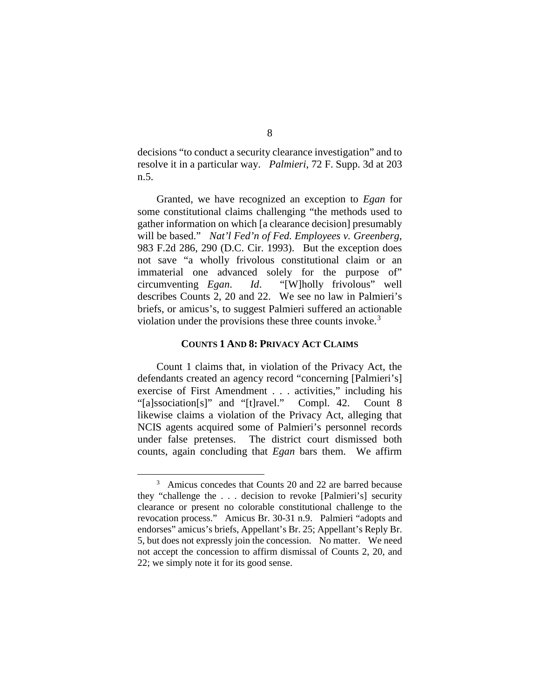decisions "to conduct a security clearance investigation" and to resolve it in a particular way. *Palmieri*, 72 F. Supp. 3d at 203 n.5.

Granted, we have recognized an exception to *Egan* for some constitutional claims challenging "the methods used to gather information on which [a clearance decision] presumably will be based." *Nat'l Fed'n of Fed. Employees v. Greenberg*, 983 F.2d 286, 290 (D.C. Cir. 1993). But the exception does not save "a wholly frivolous constitutional claim or an immaterial one advanced solely for the purpose of" circumventing *Egan*. *Id*. "[W]holly frivolous" well describes Counts 2, 20 and 22. We see no law in Palmieri's briefs, or amicus's, to suggest Palmieri suffered an actionable violation under the provisions these three counts invoke.<sup>[3](#page-7-0)</sup>

## **COUNTS 1 AND 8: PRIVACY ACT CLAIMS**

Count 1 claims that, in violation of the Privacy Act, the defendants created an agency record "concerning [Palmieri's] exercise of First Amendment . . . activities," including his "[a]ssociation[s]" and "[t]ravel." Compl. 42. Count 8 likewise claims a violation of the Privacy Act, alleging that NCIS agents acquired some of Palmieri's personnel records under false pretenses. The district court dismissed both counts, again concluding that *Egan* bars them. We affirm

<span id="page-7-0"></span> <sup>3</sup> <sup>3</sup> Amicus concedes that Counts 20 and 22 are barred because they "challenge the . . . decision to revoke [Palmieri's] security clearance or present no colorable constitutional challenge to the revocation process." Amicus Br. 30-31 n.9. Palmieri "adopts and endorses" amicus's briefs, Appellant's Br. 25; Appellant's Reply Br. 5, but does not expressly join the concession. No matter. We need not accept the concession to affirm dismissal of Counts 2, 20, and 22; we simply note it for its good sense.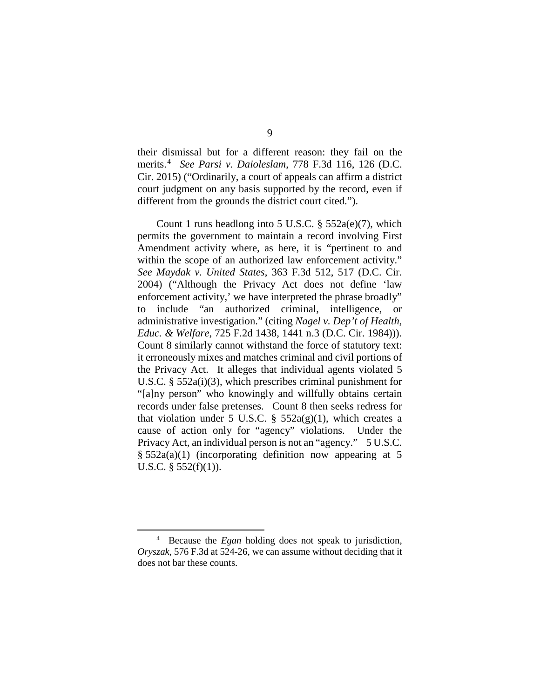their dismissal but for a different reason: they fail on the merits.[4](#page-8-0) *See Parsi v. Daioleslam*, 778 F.3d 116, 126 (D.C. Cir. 2015) ("Ordinarily, a court of appeals can affirm a district court judgment on any basis supported by the record, even if different from the grounds the district court cited.").

Count 1 runs headlong into 5 U.S.C.  $\S$  552a(e)(7), which permits the government to maintain a record involving First Amendment activity where, as here, it is "pertinent to and within the scope of an authorized law enforcement activity." *See Maydak v. United States*, 363 F.3d 512, 517 (D.C. Cir. 2004) ("Although the Privacy Act does not define 'law enforcement activity,' we have interpreted the phrase broadly" to include "an authorized criminal, intelligence, or administrative investigation." (citing *Nagel v. Dep't of Health, Educ. & Welfare*, 725 F.2d 1438, 1441 n.3 (D.C. Cir. 1984))). Count 8 similarly cannot withstand the force of statutory text: it erroneously mixes and matches criminal and civil portions of the Privacy Act. It alleges that individual agents violated 5 U.S.C. § 552a(i)(3), which prescribes criminal punishment for "[a]ny person" who knowingly and willfully obtains certain records under false pretenses. Count 8 then seeks redress for that violation under 5 U.S.C. §  $552a(g)(1)$ , which creates a cause of action only for "agency" violations. Under the Privacy Act, an individual person is not an "agency." 5 U.S.C. § 552a(a)(1) (incorporating definition now appearing at 5 U.S.C.  $\S$  552(f)(1)).

<span id="page-8-0"></span>Because the *Egan* holding does not speak to jurisdiction, *Oryszak*, 576 F.3d at 524-26, we can assume without deciding that it does not bar these counts.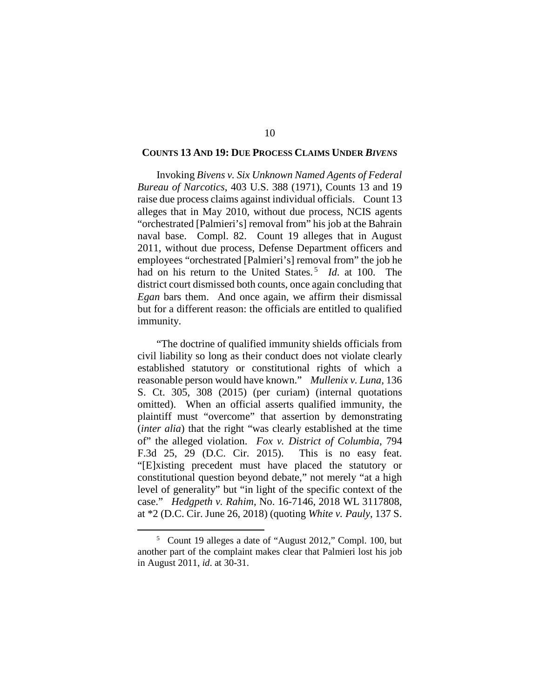#### **COUNTS 13 AND 19: DUE PROCESS CLAIMS UNDER** *BIVENS*

Invoking *Bivens v. Six Unknown Named Agents of Federal Bureau of Narcotics*, 403 U.S. 388 (1971), Counts 13 and 19 raise due process claims against individual officials. Count 13 alleges that in May 2010, without due process, NCIS agents "orchestrated [Palmieri's] removal from" his job at the Bahrain naval base. Compl. 82. Count 19 alleges that in August 2011, without due process, Defense Department officers and employees "orchestrated [Palmieri's] removal from" the job he had on his return to the United States.<sup>[5](#page-9-0)</sup> *Id.* at 100. The district court dismissed both counts, once again concluding that *Egan* bars them. And once again, we affirm their dismissal but for a different reason: the officials are entitled to qualified immunity.

"The doctrine of qualified immunity shields officials from civil liability so long as their conduct does not violate clearly established statutory or constitutional rights of which a reasonable person would have known." *Mullenix v. Luna*, 136 S. Ct. 305, 308 (2015) (per curiam) (internal quotations omitted). When an official asserts qualified immunity, the plaintiff must "overcome" that assertion by demonstrating (*inter alia*) that the right "was clearly established at the time of" the alleged violation. *Fox v. District of Columbia*, 794 F.3d 25, 29 (D.C. Cir. 2015). This is no easy feat. "[E]xisting precedent must have placed the statutory or constitutional question beyond debate," not merely "at a high level of generality" but "in light of the specific context of the case." *Hedgpeth v. Rahim*, No. 16-7146, 2018 WL 3117808, at \*2 (D.C. Cir. June 26, 2018) (quoting *White v. Pauly*, 137 S.

<span id="page-9-0"></span> $rac{1}{5}$  Count 19 alleges a date of "August 2012," Compl. 100, but another part of the complaint makes clear that Palmieri lost his job in August 2011, *id*. at 30-31.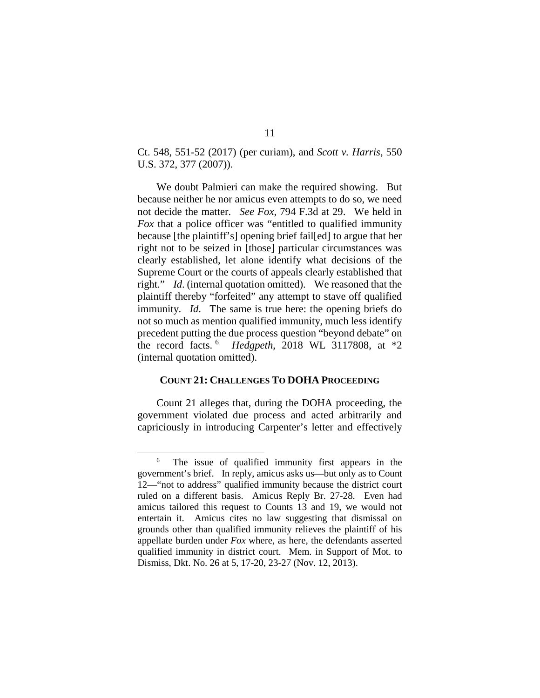Ct. 548, 551-52 (2017) (per curiam), and *Scott v. Harris*, 550 U.S. 372, 377 (2007)).

We doubt Palmieri can make the required showing. But because neither he nor amicus even attempts to do so, we need not decide the matter. *See Fox*, 794 F.3d at 29. We held in *Fox* that a police officer was "entitled to qualified immunity because [the plaintiff's] opening brief fail[ed] to argue that her right not to be seized in [those] particular circumstances was clearly established, let alone identify what decisions of the Supreme Court or the courts of appeals clearly established that right." *Id*. (internal quotation omitted). We reasoned that the plaintiff thereby "forfeited" any attempt to stave off qualified immunity. *Id*. The same is true here: the opening briefs do not so much as mention qualified immunity, much less identify precedent putting the due process question "beyond debate" on the record facts. [6](#page-10-0) *Hedgpeth*, 2018 WL 3117808, at \*2 (internal quotation omitted).

## **COUNT 21: CHALLENGES TO DOHA PROCEEDING**

Count 21 alleges that, during the DOHA proceeding, the government violated due process and acted arbitrarily and capriciously in introducing Carpenter's letter and effectively

<span id="page-10-0"></span>The issue of qualified immunity first appears in the government's brief. In reply, amicus asks us—but only as to Count 12—"not to address" qualified immunity because the district court ruled on a different basis. Amicus Reply Br. 27-28. Even had amicus tailored this request to Counts 13 and 19, we would not entertain it. Amicus cites no law suggesting that dismissal on grounds other than qualified immunity relieves the plaintiff of his appellate burden under *Fox* where, as here, the defendants asserted qualified immunity in district court. Mem. in Support of Mot. to Dismiss, Dkt. No. 26 at 5, 17-20, 23-27 (Nov. 12, 2013).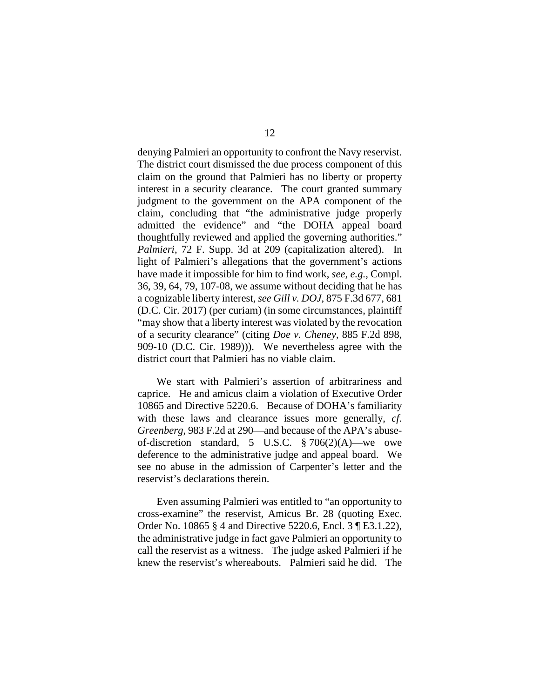denying Palmieri an opportunity to confront the Navy reservist. The district court dismissed the due process component of this claim on the ground that Palmieri has no liberty or property interest in a security clearance. The court granted summary judgment to the government on the APA component of the claim, concluding that "the administrative judge properly admitted the evidence" and "the DOHA appeal board thoughtfully reviewed and applied the governing authorities." *Palmieri*, 72 F. Supp. 3d at 209 (capitalization altered). In light of Palmieri's allegations that the government's actions have made it impossible for him to find work, *see, e.g.*, Compl. 36, 39, 64, 79, 107-08, we assume without deciding that he has a cognizable liberty interest, *see Gill v. DOJ*, 875 F.3d 677, 681 (D.C. Cir. 2017) (per curiam) (in some circumstances, plaintiff "may show that a liberty interest was violated by the revocation of a security clearance" (citing *Doe v. Cheney*, 885 F.2d 898, 909-10 (D.C. Cir. 1989))). We nevertheless agree with the district court that Palmieri has no viable claim.

We start with Palmieri's assertion of arbitrariness and caprice. He and amicus claim a violation of Executive Order 10865 and Directive 5220.6. Because of DOHA's familiarity with these laws and clearance issues more generally, *cf*. *Greenberg*, 983 F.2d at 290—and because of the APA's abuseof-discretion standard, 5 U.S.C. § 706(2)(A)—we owe deference to the administrative judge and appeal board. We see no abuse in the admission of Carpenter's letter and the reservist's declarations therein.

Even assuming Palmieri was entitled to "an opportunity to cross-examine" the reservist, Amicus Br. 28 (quoting Exec. Order No. 10865 § 4 and Directive 5220.6, Encl. 3 ¶ E3.1.22), the administrative judge in fact gave Palmieri an opportunity to call the reservist as a witness. The judge asked Palmieri if he knew the reservist's whereabouts. Palmieri said he did. The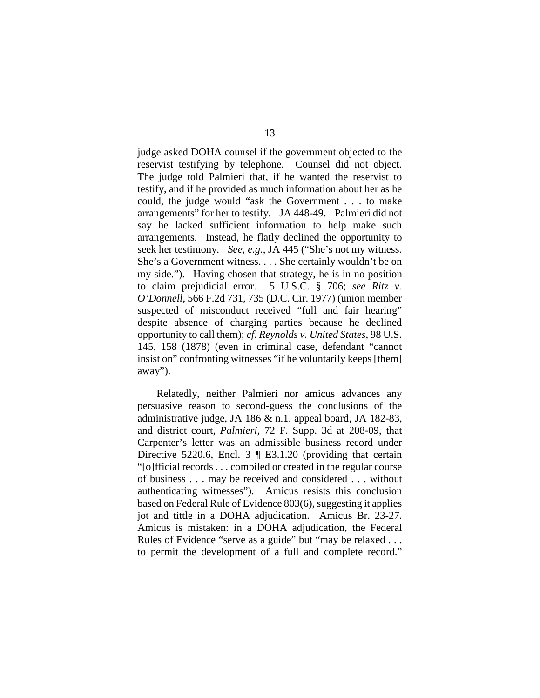judge asked DOHA counsel if the government objected to the reservist testifying by telephone. Counsel did not object. The judge told Palmieri that, if he wanted the reservist to testify, and if he provided as much information about her as he could, the judge would "ask the Government . . . to make arrangements" for her to testify. JA 448-49. Palmieri did not say he lacked sufficient information to help make such arrangements. Instead, he flatly declined the opportunity to seek her testimony. *See, e.g.*, JA 445 ("She's not my witness. She's a Government witness. . . . She certainly wouldn't be on my side."). Having chosen that strategy, he is in no position to claim prejudicial error. 5 U.S.C. § 706; *see Ritz v. O'Donnell*, 566 F.2d 731, 735 (D.C. Cir. 1977) (union member suspected of misconduct received "full and fair hearing" despite absence of charging parties because he declined opportunity to call them); *cf*. *Reynolds v. United States*, 98 U.S. 145, 158 (1878) (even in criminal case, defendant "cannot insist on" confronting witnesses "if he voluntarily keeps [them] away").

Relatedly, neither Palmieri nor amicus advances any persuasive reason to second-guess the conclusions of the administrative judge, JA 186 & n.1, appeal board, JA 182-83, and district court, *Palmieri*, 72 F. Supp. 3d at 208-09, that Carpenter's letter was an admissible business record under Directive 5220.6, Encl. 3  $\parallel$  E3.1.20 (providing that certain "[o]fficial records . . . compiled or created in the regular course of business . . . may be received and considered . . . without authenticating witnesses"). Amicus resists this conclusion based on Federal Rule of Evidence 803(6), suggesting it applies jot and tittle in a DOHA adjudication. Amicus Br. 23-27. Amicus is mistaken: in a DOHA adjudication, the Federal Rules of Evidence "serve as a guide" but "may be relaxed . . . to permit the development of a full and complete record."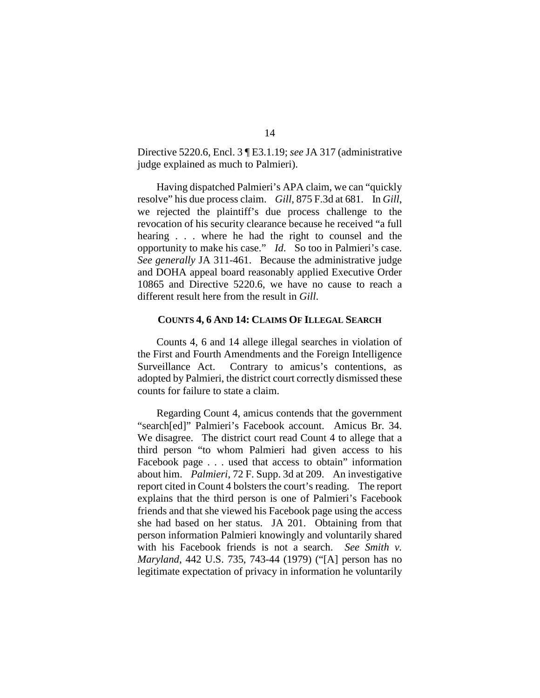Directive 5220.6, Encl. 3 ¶ E3.1.19; *see* JA 317 (administrative judge explained as much to Palmieri).

Having dispatched Palmieri's APA claim, we can "quickly resolve" his due process claim. *Gill*, 875 F.3d at 681. In *Gill*, we rejected the plaintiff's due process challenge to the revocation of his security clearance because he received "a full hearing . . . where he had the right to counsel and the opportunity to make his case." *Id*. So too in Palmieri's case. *See generally* JA 311-461. Because the administrative judge and DOHA appeal board reasonably applied Executive Order 10865 and Directive 5220.6, we have no cause to reach a different result here from the result in *Gill*.

## **COUNTS 4, 6 AND 14: CLAIMS OF ILLEGAL SEARCH**

Counts 4, 6 and 14 allege illegal searches in violation of the First and Fourth Amendments and the Foreign Intelligence Surveillance Act. Contrary to amicus's contentions, as adopted by Palmieri, the district court correctly dismissed these counts for failure to state a claim.

Regarding Count 4, amicus contends that the government "search[ed]" Palmieri's Facebook account. Amicus Br. 34. We disagree. The district court read Count 4 to allege that a third person "to whom Palmieri had given access to his Facebook page . . . used that access to obtain" information about him. *Palmieri*, 72 F. Supp. 3d at 209. An investigative report cited in Count 4 bolsters the court's reading. The report explains that the third person is one of Palmieri's Facebook friends and that she viewed his Facebook page using the access she had based on her status. JA 201. Obtaining from that person information Palmieri knowingly and voluntarily shared with his Facebook friends is not a search. *See Smith v. Maryland*, 442 U.S. 735, 743-44 (1979) ("[A] person has no legitimate expectation of privacy in information he voluntarily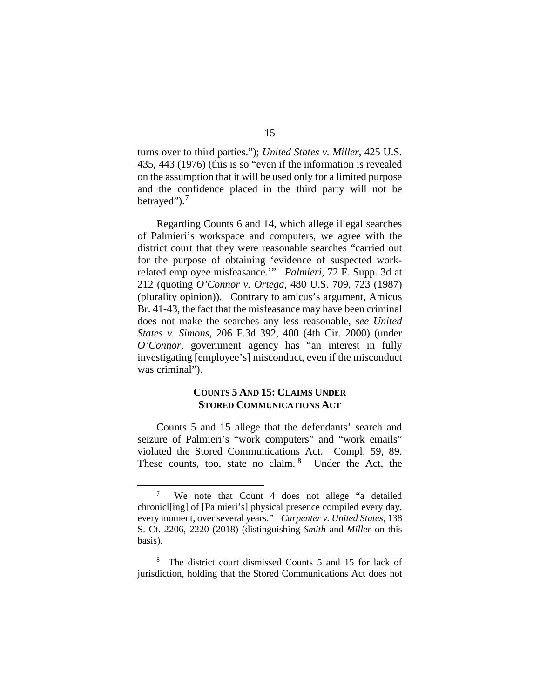turns over to third parties."); *United States v. Miller*, 425 U.S. 435, 443 (1976) (this is so "even if the information is revealed on the assumption that it will be used only for a limited purpose and the confidence placed in the third party will not be betrayed"). $<sup>7</sup>$  $<sup>7</sup>$  $<sup>7</sup>$ </sup>

Regarding Counts 6 and 14, which allege illegal searches of Palmieri's workspace and computers, we agree with the district court that they were reasonable searches "carried out for the purpose of obtaining 'evidence of suspected workrelated employee misfeasance.'" *Palmieri*, 72 F. Supp. 3d at 212 (quoting *O'Connor v. Ortega*, 480 U.S. 709, 723 (1987) (plurality opinion)). Contrary to amicus's argument, Amicus Br. 41-43, the fact that the misfeasance may have been criminal does not make the searches any less reasonable, *see United States v. Simons*, 206 F.3d 392, 400 (4th Cir. 2000) (under *O'Connor*, government agency has "an interest in fully investigating [employee's] misconduct, even if the misconduct was criminal").

## **COUNTS 5 AND 15: CLAIMS UNDER STORED COMMUNICATIONS ACT**

Counts 5 and 15 allege that the defendants' search and seizure of Palmieri's "work computers" and "work emails" violated the Stored Communications Act. Compl. 59, 89. These counts, too, state no claim. <sup>[8](#page-14-1)</sup> Under the Act, the

<span id="page-14-0"></span>We note that Count 4 does not allege "a detailed chronicl[ing] of [Palmieri's] physical presence compiled every day, every moment, over several years." *Carpenter v. United States*, 138 S. Ct. 2206, 2220 (2018) (distinguishing *Smith* and *Miller* on this basis).

<span id="page-14-1"></span>The district court dismissed Counts 5 and 15 for lack of jurisdiction, holding that the Stored Communications Act does not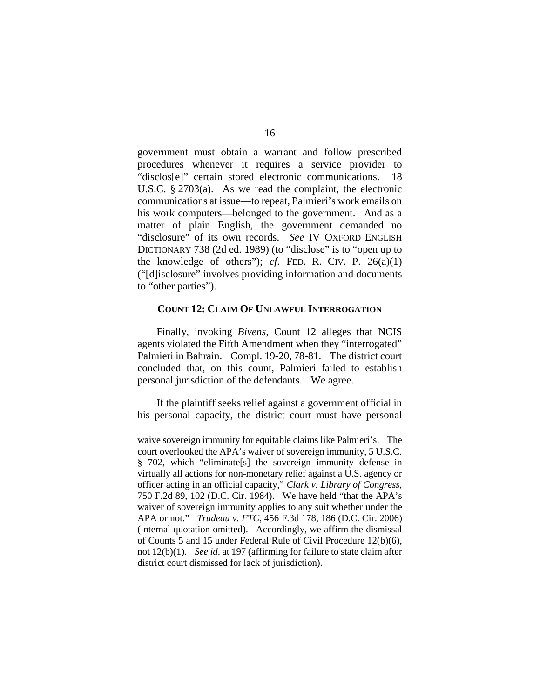government must obtain a warrant and follow prescribed procedures whenever it requires a service provider to "disclos[e]" certain stored electronic communications. 18 U.S.C. § 2703(a). As we read the complaint, the electronic communications at issue—to repeat, Palmieri's work emails on his work computers—belonged to the government. And as a matter of plain English, the government demanded no "disclosure" of its own records. *See* IV OXFORD ENGLISH DICTIONARY 738 (2d ed. 1989) (to "disclose" is to "open up to the knowledge of others"); *cf*. FED. R. CIV. P. 26(a)(1) ("[d]isclosure" involves providing information and documents to "other parties").

#### **COUNT 12: CLAIM OF UNLAWFUL INTERROGATION**

Finally, invoking *Bivens*, Count 12 alleges that NCIS agents violated the Fifth Amendment when they "interrogated" Palmieri in Bahrain. Compl. 19-20, 78-81. The district court concluded that, on this count, Palmieri failed to establish personal jurisdiction of the defendants. We agree.

If the plaintiff seeks relief against a government official in his personal capacity, the district court must have personal

 $\overline{a}$ 

waive sovereign immunity for equitable claims like Palmieri's. The court overlooked the APA's waiver of sovereign immunity, 5 U.S.C. § 702, which "eliminate[s] the sovereign immunity defense in virtually all actions for non-monetary relief against a U.S. agency or officer acting in an official capacity," *Clark v. Library of Congress*, 750 F.2d 89, 102 (D.C. Cir. 1984). We have held "that the APA's waiver of sovereign immunity applies to any suit whether under the APA or not." *Trudeau v. FTC*, 456 F.3d 178, 186 (D.C. Cir. 2006) (internal quotation omitted). Accordingly, we affirm the dismissal of Counts 5 and 15 under Federal Rule of Civil Procedure 12(b)(6), not 12(b)(1). *See id*. at 197 (affirming for failure to state claim after district court dismissed for lack of jurisdiction).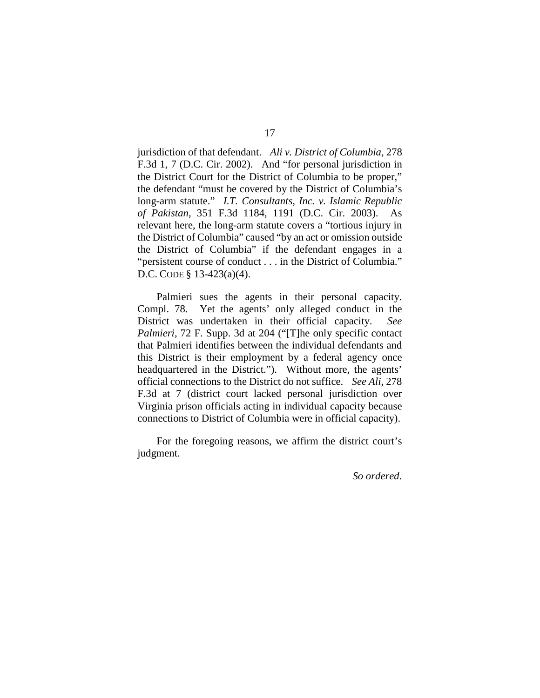jurisdiction of that defendant. *Ali v. District of Columbia*, 278 F.3d 1, 7 (D.C. Cir. 2002). And "for personal jurisdiction in the District Court for the District of Columbia to be proper," the defendant "must be covered by the District of Columbia's long-arm statute." *I.T. Consultants, Inc. v. Islamic Republic of Pakistan*, 351 F.3d 1184, 1191 (D.C. Cir. 2003). As relevant here, the long-arm statute covers a "tortious injury in the District of Columbia" caused "by an act or omission outside the District of Columbia" if the defendant engages in a "persistent course of conduct . . . in the District of Columbia." D.C. CODE § 13-423(a)(4).

Palmieri sues the agents in their personal capacity. Compl. 78. Yet the agents' only alleged conduct in the District was undertaken in their official capacity. *See Palmieri*, 72 F. Supp. 3d at 204 ("The only specific contact that Palmieri identifies between the individual defendants and this District is their employment by a federal agency once headquartered in the District."). Without more, the agents' official connections to the District do not suffice. *See Ali*, 278 F.3d at 7 (district court lacked personal jurisdiction over Virginia prison officials acting in individual capacity because connections to District of Columbia were in official capacity).

For the foregoing reasons, we affirm the district court's judgment.

*So ordered*.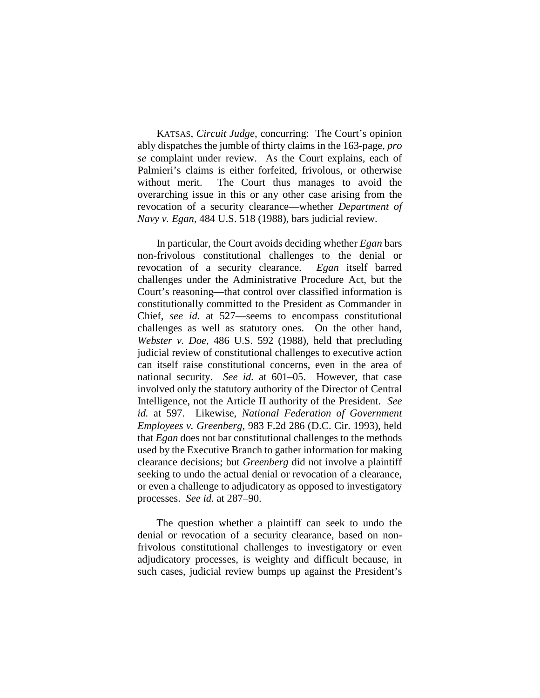KATSAS, *Circuit Judge*, concurring: The Court's opinion ably dispatches the jumble of thirty claims in the 163-page, *pro se* complaint under review. As the Court explains, each of Palmieri's claims is either forfeited, frivolous, or otherwise without merit. The Court thus manages to avoid the overarching issue in this or any other case arising from the revocation of a security clearance—whether *Department of Navy v. Egan*, 484 U.S. 518 (1988), bars judicial review.

In particular, the Court avoids deciding whether *Egan* bars non-frivolous constitutional challenges to the denial or revocation of a security clearance. *Egan* itself barred challenges under the Administrative Procedure Act, but the Court's reasoning—that control over classified information is constitutionally committed to the President as Commander in Chief, *see id.* at 527—seems to encompass constitutional challenges as well as statutory ones. On the other hand, *Webster v. Doe*, 486 U.S. 592 (1988), held that precluding judicial review of constitutional challenges to executive action can itself raise constitutional concerns, even in the area of national security. *See id.* at 601–05. However, that case involved only the statutory authority of the Director of Central Intelligence, not the Article II authority of the President. *See id.* at 597. Likewise, *National Federation of Government Employees v. Greenberg*, 983 F.2d 286 (D.C. Cir. 1993), held that *Egan* does not bar constitutional challenges to the methods used by the Executive Branch to gather information for making clearance decisions; but *Greenberg* did not involve a plaintiff seeking to undo the actual denial or revocation of a clearance, or even a challenge to adjudicatory as opposed to investigatory processes. *See id.* at 287–90.

The question whether a plaintiff can seek to undo the denial or revocation of a security clearance, based on nonfrivolous constitutional challenges to investigatory or even adjudicatory processes, is weighty and difficult because, in such cases, judicial review bumps up against the President's